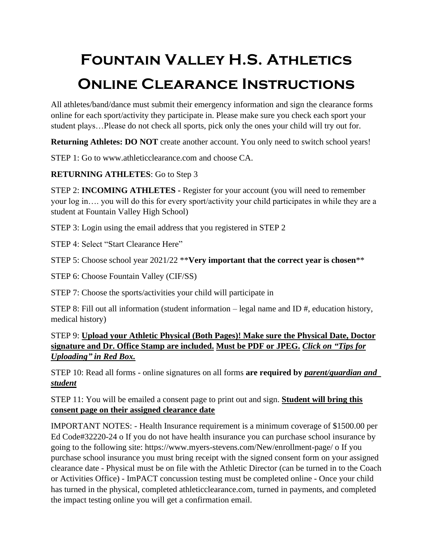## **Fountain Valley H.S. Athletics Online Clearance Instructions**

All athletes/band/dance must submit their emergency information and sign the clearance forms online for each sport/activity they participate in. Please make sure you check each sport your student plays…Please do not check all sports, pick only the ones your child will try out for.

**Returning Athletes: DO NOT** create another account. You only need to switch school years!

STEP 1: Go to www.athleticclearance.com and choose CA.

## **RETURNING ATHLETES**: Go to Step 3

STEP 2: **INCOMING ATHLETES -** Register for your account (you will need to remember your log in…. you will do this for every sport/activity your child participates in while they are a student at Fountain Valley High School)

STEP 3: Login using the email address that you registered in STEP 2

STEP 4: Select "Start Clearance Here"

STEP 5: Choose school year 2021/22 \*\***Very important that the correct year is chosen**\*\*

STEP 6: Choose Fountain Valley (CIF/SS)

STEP 7: Choose the sports/activities your child will participate in

STEP 8: Fill out all information (student information – legal name and ID #, education history, medical history)

STEP 9: **Upload your Athletic Physical (Both Pages)! Make sure the Physical Date, Doctor signature and Dr. Office Stamp are included. Must be PDF or JPEG.** *Click on "Tips for Uploading" in Red Box.*

STEP 10: Read all forms - online signatures on all forms **are required by** *parent/guardian and student* 

STEP 11: You will be emailed a consent page to print out and sign. **Student will bring this consent page on their assigned clearance date** 

IMPORTANT NOTES: - Health Insurance requirement is a minimum coverage of \$1500.00 per Ed Code#32220-24 o If you do not have health insurance you can purchase school insurance by going to the following site: https://www.myers-stevens.com/New/enrollment-page/ o If you purchase school insurance you must bring receipt with the signed consent form on your assigned clearance date - Physical must be on file with the Athletic Director (can be turned in to the Coach or Activities Office) - ImPACT concussion testing must be completed online - Once your child has turned in the physical, completed athleticclearance.com, turned in payments, and completed the impact testing online you will get a confirmation email.